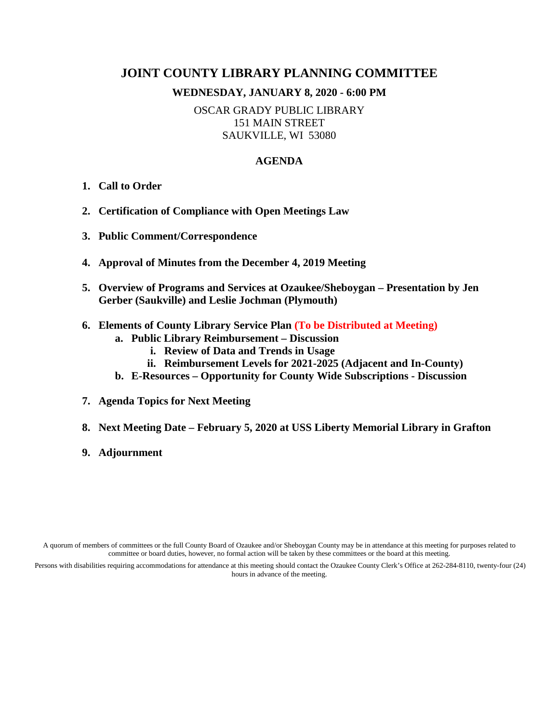# **JOINT COUNTY LIBRARY PLANNING COMMITTEE**

#### **WEDNESDAY, JANUARY 8, 2020 - 6:00 PM**

OSCAR GRADY PUBLIC LIBRARY 151 MAIN STREET SAUKVILLE, WI 53080

#### **AGENDA**

- **1. Call to Order**
- **2. Certification of Compliance with Open Meetings Law**
- **3. Public Comment/Correspondence**
- **4. Approval of Minutes from the December 4, 2019 Meeting**
- **5. Overview of Programs and Services at Ozaukee/Sheboygan – Presentation by Jen Gerber (Saukville) and Leslie Jochman (Plymouth)**
- **6. Elements of County Library Service Plan (To be Distributed at Meeting)**
	- **a. Public Library Reimbursement – Discussion**
		- **i. Review of Data and Trends in Usage**
		- **ii. Reimbursement Levels for 2021-2025 (Adjacent and In-County)**
	- **b. E-Resources – Opportunity for County Wide Subscriptions - Discussion**
- **7. Agenda Topics for Next Meeting**
- **8. Next Meeting Date – February 5, 2020 at USS Liberty Memorial Library in Grafton**
- **9. Adjournment**

A quorum of members of committees or the full County Board of Ozaukee and/or Sheboygan County may be in attendance at this meeting for purposes related to committee or board duties, however, no formal action will be taken by these committees or the board at this meeting.

Persons with disabilities requiring accommodations for attendance at this meeting should contact the Ozaukee County Clerk's Office at 262-284-8110, twenty-four (24) hours in advance of the meeting.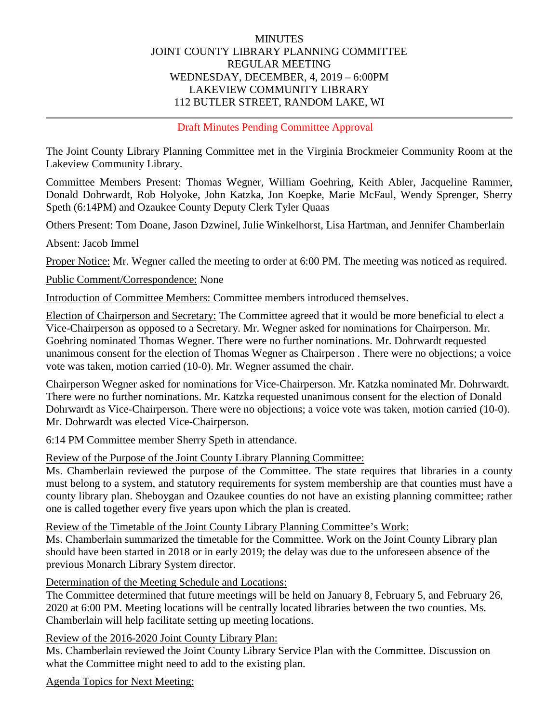### **MINUTES** JOINT COUNTY LIBRARY PLANNING COMMITTEE REGULAR MEETING WEDNESDAY, DECEMBER, 4, 2019 – 6:00PM LAKEVIEW COMMUNITY LIBRARY 112 BUTLER STREET, RANDOM LAKE, WI

Draft Minutes Pending Committee Approval

The Joint County Library Planning Committee met in the Virginia Brockmeier Community Room at the Lakeview Community Library.

Committee Members Present: Thomas Wegner, William Goehring, Keith Abler, Jacqueline Rammer, Donald Dohrwardt, Rob Holyoke, John Katzka, Jon Koepke, Marie McFaul, Wendy Sprenger, Sherry Speth (6:14PM) and Ozaukee County Deputy Clerk Tyler Quaas

Others Present: Tom Doane, Jason Dzwinel, Julie Winkelhorst, Lisa Hartman, and Jennifer Chamberlain

Absent: Jacob Immel

Proper Notice: Mr. Wegner called the meeting to order at 6:00 PM. The meeting was noticed as required.

Public Comment/Correspondence: None

Introduction of Committee Members: Committee members introduced themselves.

Election of Chairperson and Secretary: The Committee agreed that it would be more beneficial to elect a Vice-Chairperson as opposed to a Secretary. Mr. Wegner asked for nominations for Chairperson. Mr. Goehring nominated Thomas Wegner. There were no further nominations. Mr. Dohrwardt requested unanimous consent for the election of Thomas Wegner as Chairperson . There were no objections; a voice vote was taken, motion carried (10-0). Mr. Wegner assumed the chair.

Chairperson Wegner asked for nominations for Vice-Chairperson. Mr. Katzka nominated Mr. Dohrwardt. There were no further nominations. Mr. Katzka requested unanimous consent for the election of Donald Dohrwardt as Vice-Chairperson. There were no objections; a voice vote was taken, motion carried (10-0). Mr. Dohrwardt was elected Vice-Chairperson.

6:14 PM Committee member Sherry Speth in attendance.

Review of the Purpose of the Joint County Library Planning Committee:

Ms. Chamberlain reviewed the purpose of the Committee. The state requires that libraries in a county must belong to a system, and statutory requirements for system membership are that counties must have a county library plan. Sheboygan and Ozaukee counties do not have an existing planning committee; rather one is called together every five years upon which the plan is created.

Review of the Timetable of the Joint County Library Planning Committee's Work:

Ms. Chamberlain summarized the timetable for the Committee. Work on the Joint County Library plan should have been started in 2018 or in early 2019; the delay was due to the unforeseen absence of the previous Monarch Library System director.

Determination of the Meeting Schedule and Locations:

The Committee determined that future meetings will be held on January 8, February 5, and February 26, 2020 at 6:00 PM. Meeting locations will be centrally located libraries between the two counties. Ms. Chamberlain will help facilitate setting up meeting locations.

Review of the 2016-2020 Joint County Library Plan:

Ms. Chamberlain reviewed the Joint County Library Service Plan with the Committee. Discussion on what the Committee might need to add to the existing plan.

Agenda Topics for Next Meeting: